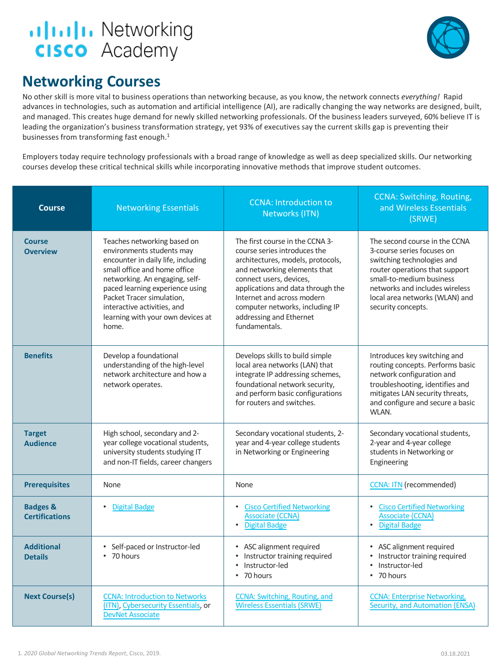## ululu Networking<br>CISCO Academy



## **Networking Courses**

No other skill is more vital to business operations than networking because, as you know, the network connects *everything!* Rapid advances in technologies, such as automation and artificial intelligence (AI), are radically changing the way networks are designed, built, and managed. This creates huge demand for newly skilled networking professionals. Of the business leaders surveyed, 60% believe IT is leading the organization's business transformation strategy, yet 93% of executives say the current skills gap is preventing their businesses from transforming fast enough.<sup>1</sup>

Employers today require technology professionals with a broad range of knowledge as well as deep specialized skills. Our networking courses develop these critical technical skills while incorporating innovative methods that improve student outcomes.

| <b>Course</b>                                | <b>Networking Essentials</b>                                                                                                                                                                                                                                                                                  | <b>CCNA: Introduction to</b><br>Networks (ITN)                                                                                                                                                                                                                                                                    | CCNA: Switching, Routing,<br>and Wireless Essentials<br>(SRWE)                                                                                                                                                                                    |
|----------------------------------------------|---------------------------------------------------------------------------------------------------------------------------------------------------------------------------------------------------------------------------------------------------------------------------------------------------------------|-------------------------------------------------------------------------------------------------------------------------------------------------------------------------------------------------------------------------------------------------------------------------------------------------------------------|---------------------------------------------------------------------------------------------------------------------------------------------------------------------------------------------------------------------------------------------------|
| <b>Course</b><br><b>Overview</b>             | Teaches networking based on<br>environments students may<br>encounter in daily life, including<br>small office and home office<br>networking. An engaging, self-<br>paced learning experience using<br>Packet Tracer simulation,<br>interactive activities, and<br>learning with your own devices at<br>home. | The first course in the CCNA 3-<br>course series introduces the<br>architectures, models, protocols,<br>and networking elements that<br>connect users, devices,<br>applications and data through the<br>Internet and across modern<br>computer networks, including IP<br>addressing and Ethernet<br>fundamentals. | The second course in the CCNA<br>3-course series focuses on<br>switching technologies and<br>router operations that support<br>small-to-medium business<br>networks and includes wireless<br>local area networks (WLAN) and<br>security concepts. |
| <b>Benefits</b>                              | Develop a foundational<br>understanding of the high-level<br>network architecture and how a<br>network operates.                                                                                                                                                                                              | Develops skills to build simple<br>local area networks (LAN) that<br>integrate IP addressing schemes,<br>foundational network security,<br>and perform basic configurations<br>for routers and switches.                                                                                                          | Introduces key switching and<br>routing concepts. Performs basic<br>network configuration and<br>troubleshooting, identifies and<br>mitigates LAN security threats,<br>and configure and secure a basic<br>WLAN.                                  |
| <b>Target</b><br><b>Audience</b>             | High school, secondary and 2-<br>year college vocational students,<br>university students studying IT<br>and non-IT fields, career changers                                                                                                                                                                   | Secondary vocational students, 2-<br>year and 4-year college students<br>in Networking or Engineering                                                                                                                                                                                                             | Secondary vocational students,<br>2-year and 4-year college<br>students in Networking or<br>Engineering                                                                                                                                           |
| <b>Prerequisites</b>                         | None                                                                                                                                                                                                                                                                                                          | None                                                                                                                                                                                                                                                                                                              | <b>CCNA: ITN</b> (recommended)                                                                                                                                                                                                                    |
| <b>Badges &amp;</b><br><b>Certifications</b> | <b>Digital Badge</b>                                                                                                                                                                                                                                                                                          | <b>Cisco Certified Networking</b><br>$\bullet$<br><b>Associate (CCNA)</b><br><b>Digital Badge</b><br>$\bullet$                                                                                                                                                                                                    | <b>Cisco Certified Networking</b><br>$\bullet$<br><b>Associate (CCNA)</b><br>• Digital Badge                                                                                                                                                      |
| <b>Additional</b><br><b>Details</b>          | • Self-paced or Instructor-led<br>• 70 hours                                                                                                                                                                                                                                                                  | • ASC alignment required<br>Instructor training required<br>٠<br>Instructor-led<br>٠<br>• 70 hours                                                                                                                                                                                                                | • ASC alignment required<br>Instructor training required<br>٠<br>Instructor-led<br>$\bullet$<br>• 70 hours                                                                                                                                        |
| <b>Next Course(s)</b>                        | <b>CCNA: Introduction to Networks</b><br>(ITN), Cybersecurity Essentials, or<br><b>DevNet Associate</b>                                                                                                                                                                                                       | CCNA: Switching, Routing, and<br><b>Wireless Essentials (SRWE)</b>                                                                                                                                                                                                                                                | <b>CCNA: Enterprise Networking,</b><br><b>Security, and Automation (ENSA)</b>                                                                                                                                                                     |